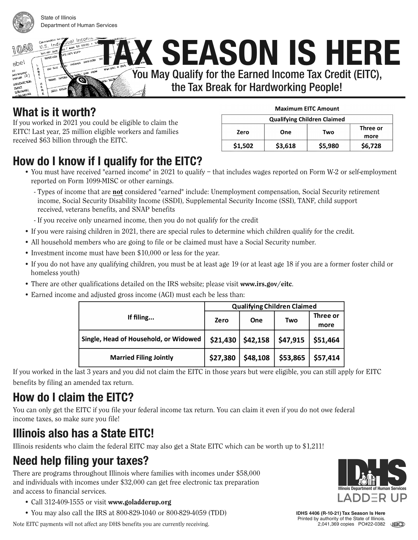

abel

inversions<br><sub>regen</sub>ge (2)

**MANDRO BR Extra** ALTE IT LIKE

State of Illinois Department of Human Services

> ual Incon *K* **SEASON IS HERE EXT. 2117 PCA** ్టం You May Qualify for the Earned Income Tax Credit (EITC),  $\sigma$

the Tax Break for Hardworking People!

#### **What is it worth?**

تنتني

 $0.5.$  Indi

**BITT THE SLEET** 

نجز

If you worked in 2021 you could be eligible to claim the EITC! Last year, 25 million eligible workers and families received \$63 billion through the EITC.

| <b>Maximum EITC Amount</b> |  |  |
|----------------------------|--|--|
|----------------------------|--|--|

| <b>Qualifying Children Claimed</b> |         |                         |         |  |  |
|------------------------------------|---------|-------------------------|---------|--|--|
| Zero                               | One     | Three or<br>Two<br>more |         |  |  |
| \$1,502                            | \$3,618 | \$5,980                 | \$6,728 |  |  |

# **How do I know if I qualify for the EITC?**

- You must have received "earned income" in 2021 to qualify that includes wages reported on Form W-2 or self-employment reported on Form 1099-MISC or other earnings.
	- Types of income that are not considered "earned" include: Unemployment compensation, Social Security retirement income, Social Security Disability Income (SSDI), Supplemental Security Income (SSI), TANF, child support received, veterans benefits, and SNAP benefits
	- If you receive only unearned income, then you do not qualify for the credit
- If you were raising children in 2021, there are special rules to determine which children qualify for the credit.
- All household members who are going to file or be claimed must have a Social Security number.
- Investment income must have been \$10,000 or less for the year.
- If you do not have any qualifying children, you must be at least age 19 (or at least age 18 if you are a former foster child or homeless youth)
- There are other qualifications detailed on the IRS website; please visit www.irs.gov/eitc.
- Earned income and adjusted gross income (AGI) must each be less than:

|                                       | <b>Qualifying Children Claimed</b> |            |          |                  |
|---------------------------------------|------------------------------------|------------|----------|------------------|
| If filing                             | Zero                               | <b>One</b> | Two      | Three or<br>more |
| Single, Head of Household, or Widowed | \$21,430                           | \$42,158   | \$47,915 | \$51,464         |
| <b>Married Filing Jointly</b>         | \$27,380                           | \$48,108   | \$53,865 | \$57,414         |

If you worked in the last 3 years and you did not claim the EITC in those years but were eligible, you can still apply for EITC benefits by filing an amended tax return.

# **How do I claim the EITC?**

You can only get the EITC if you file your federal income tax return. You can claim it even if you do not owe federal income taxes, so make sure you file!

# **Illinois also has a State EITC!**

Illinois residents who claim the federal EITC may also get a State EITC which can be worth up to \$1,211!

# **Need help filing your taxes?**

There are programs throughout Illinois where families with incomes under \$58,000 and individuals with incomes under \$32,000 can get free electronic tax preparation and access to financial services.

- Call 312-409-1555 or visit www.goladderup.org
- You may also call the IRS at 800-829-1040 or 800-829-4059 (TDD)

Note EITC payments will not affect any DHS benefits you are currently receiving.